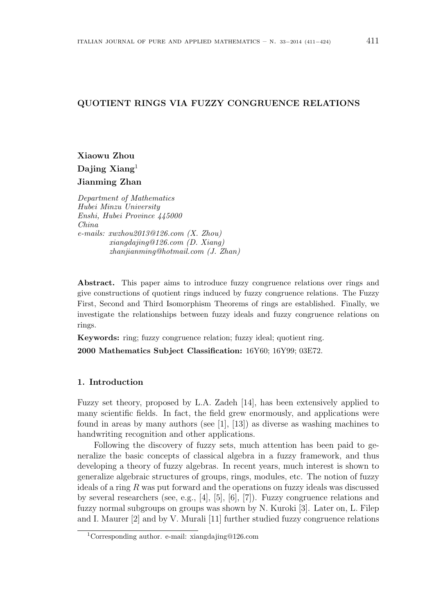# QUOTIENT RINGS VIA FUZZY CONGRUENCE RELATIONS

Xiaowu Zhou Dajing Xiang<sup>1</sup> Jianming Zhan

Department of Mathematics Hubei Minzu University Enshi, Hubei Province 445000 China e-mails: xwzhou2013@126.com (X. Zhou) xiangdajing@126.com (D. Xiang) zhanjianming@hotmail.com (J. Zhan)

Abstract. This paper aims to introduce fuzzy congruence relations over rings and give constructions of quotient rings induced by fuzzy congruence relations. The Fuzzy First, Second and Third Isomorphism Theorems of rings are established. Finally, we investigate the relationships between fuzzy ideals and fuzzy congruence relations on rings.

Keywords: ring; fuzzy congruence relation; fuzzy ideal; quotient ring.

2000 Mathematics Subject Classification: 16Y60; 16Y99; 03E72.

## 1. Introduction

Fuzzy set theory, proposed by L.A. Zadeh [14], has been extensively applied to many scientific fields. In fact, the field grew enormously, and applications were found in areas by many authors (see [1], [13]) as diverse as washing machines to handwriting recognition and other applications.

Following the discovery of fuzzy sets, much attention has been paid to generalize the basic concepts of classical algebra in a fuzzy framework, and thus developing a theory of fuzzy algebras. In recent years, much interest is shown to generalize algebraic structures of groups, rings, modules, etc. The notion of fuzzy ideals of a ring R was put forward and the operations on fuzzy ideals was discussed by several researchers (see, e.g., [4], [5], [6], [7]). Fuzzy congruence relations and fuzzy normal subgroups on groups was shown by N. Kuroki [3]. Later on, L. Filep and I. Maurer [2] and by V. Murali [11] further studied fuzzy congruence relations

<sup>1</sup>Corresponding author. e-mail: xiangdajing@126.com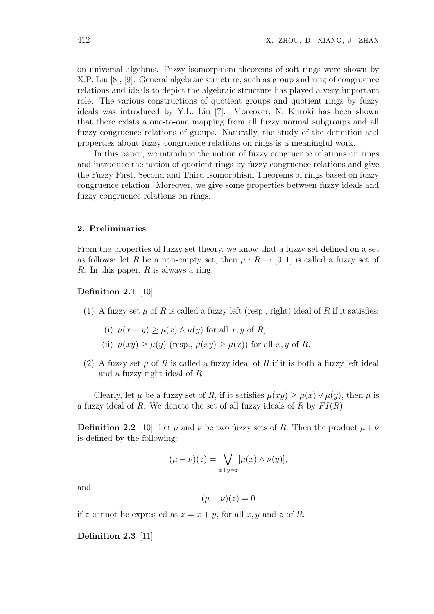on universal algebras. Fuzzy isomorphism theorems of soft rings were shown by X.P. Liu [8], [9]. General algebraic structure, such as group and ring of congruence relations and ideals to depict the algebraic structure has played a very important role. The various constructions of quotient groups and quotient rings by fuzzy ideals was introduced by Y.L. Liu [7]. Moreover, N. Kuroki has been shown that there exists a one-to-one mapping from all fuzzy normal subgroups and all fuzzy congruence relations of groups. Naturally, the study of the definition and properties about fuzzy congruence relations on rings is a meaningful work.

In this paper, we introduce the notion of fuzzy congruence relations on rings and introduce the notion of quotient rings by fuzzy congruence relations and give the Fuzzy First, Second and Third Isomorphism Theorems of rings based on fuzzy congruence relation. Moreover, we give some properties between fuzzy ideals and fuzzy congruence relations on rings.

#### 2. Preliminaries

From the properties of fuzzy set theory, we know that a fuzzy set defined on a set as follows: let R be a non-empty set, then  $\mu : R \to [0, 1]$  is called a fuzzy set of R. In this paper,  $R$  is always a ring.

Definition 2.1 [10]

- (1) A fuzzy set  $\mu$  of R is called a fuzzy left (resp., right) ideal of R if it satisfies:
	- (i)  $\mu(x y) > \mu(x) \wedge \mu(y)$  for all x, y of R,
	- (ii)  $\mu(xy) > \mu(y)$  (resp.,  $\mu(xy) > \mu(x)$ ) for all x, y of R.
- (2) A fuzzy set  $\mu$  of R is called a fuzzy ideal of R if it is both a fuzzy left ideal and a fuzzy right ideal of R.

Clearly, let  $\mu$  be a fuzzy set of R, if it satisfies  $\mu(xy) \geq \mu(x) \vee \mu(y)$ , then  $\mu$  is a fuzzy ideal of R. We denote the set of all fuzzy ideals of R by  $FI(R)$ .

**Definition 2.2** [10] Let  $\mu$  and  $\nu$  be two fuzzy sets of R. Then the product  $\mu + \nu$ is defined by the following:

$$
(\mu + \nu)(z) = \bigvee_{x+y=z} [\mu(x) \wedge \nu(y)],
$$

and

$$
(\mu + \nu)(z) = 0
$$

if z cannot be expressed as  $z = x + y$ , for all x, y and z of R.

Definition 2.3 [11]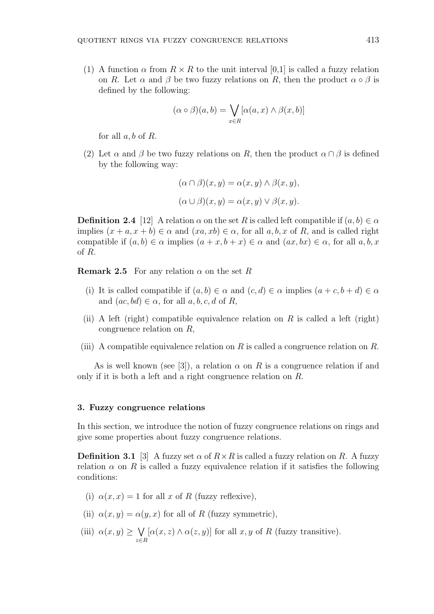(1) A function  $\alpha$  from  $R \times R$  to the unit interval [0,1] is called a fuzzy relation on R. Let  $\alpha$  and  $\beta$  be two fuzzy relations on R, then the product  $\alpha \circ \beta$  is defined by the following:

$$
(\alpha \circ \beta)(a, b) = \bigvee_{x \in R} [\alpha(a, x) \land \beta(x, b)]
$$

for all  $a, b$  of  $R$ .

(2) Let  $\alpha$  and  $\beta$  be two fuzzy relations on R, then the product  $\alpha \cap \beta$  is defined by the following way:

$$
(\alpha \cap \beta)(x, y) = \alpha(x, y) \land \beta(x, y),
$$

$$
(\alpha \cup \beta)(x, y) = \alpha(x, y) \lor \beta(x, y).
$$

**Definition 2.4** [12] A relation  $\alpha$  on the set R is called left compatible if  $(a, b) \in \alpha$ implies  $(x + a, x + b) \in \alpha$  and  $(xa, xb) \in \alpha$ , for all  $a, b, x$  of R, and is called right compatible if  $(a, b) \in \alpha$  implies  $(a + x, b + x) \in \alpha$  and  $(ax, bx) \in \alpha$ , for all  $a, b, x$ of R.

**Remark 2.5** For any relation  $\alpha$  on the set R

- (i) It is called compatible if  $(a, b) \in \alpha$  and  $(c, d) \in \alpha$  implies  $(a + c, b + d) \in \alpha$ and  $(ac, bd) \in \alpha$ , for all  $a, b, c, d$  of R,
- (ii) A left (right) compatible equivalence relation on R is called a left (right) congruence relation on R,
- (iii) A compatible equivalence relation on R is called a congruence relation on R.

As is well known (see [3]), a relation  $\alpha$  on R is a congruence relation if and only if it is both a left and a right congruence relation on R.

#### 3. Fuzzy congruence relations

In this section, we introduce the notion of fuzzy congruence relations on rings and give some properties about fuzzy congruence relations.

**Definition 3.1** [3] A fuzzy set  $\alpha$  of  $R \times R$  is called a fuzzy relation on R. A fuzzy relation  $\alpha$  on R is called a fuzzy equivalence relation if it satisfies the following conditions:

- (i)  $\alpha(x, x) = 1$  for all x of R (fuzzy reflexive),
- (ii)  $\alpha(x, y) = \alpha(y, x)$  for all of R (fuzzy symmetric),
- (iii)  $\alpha(x, y) \geq$  $\ddot{\phantom{0}}$ z∈R  $[\alpha(x, z) \wedge \alpha(z, y)]$  for all x, y of R (fuzzy transitive).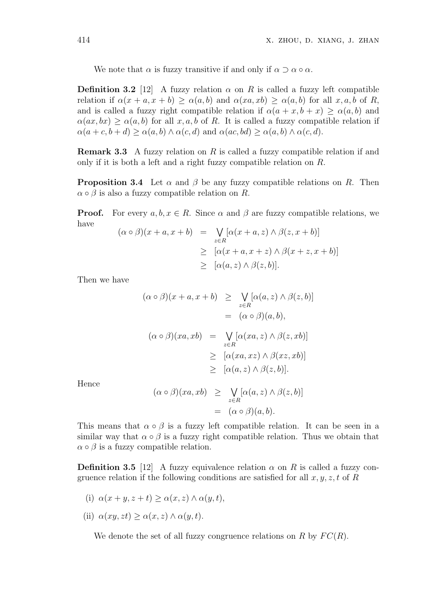We note that  $\alpha$  is fuzzy transitive if and only if  $\alpha \supset \alpha \circ \alpha$ .

**Definition 3.2** [12] A fuzzy relation  $\alpha$  on R is called a fuzzy left compatible relation if  $\alpha(x + a, x + b) > \alpha(a, b)$  and  $\alpha(xa, xb) > \alpha(a, b)$  for all  $x, a, b$  of  $R$ , and is called a fuzzy right compatible relation if  $\alpha(a + x, b + x) \geq \alpha(a, b)$  and  $\alpha(ax, bx) \geq \alpha(a, b)$  for all x, a, b of R. It is called a fuzzy compatible relation if  $\alpha(a+c, b+d) \geq \alpha(a, b) \wedge \alpha(c, d)$  and  $\alpha(ac, bd) \geq \alpha(a, b) \wedge \alpha(c, d)$ .

**Remark 3.3** A fuzzy relation on R is called a fuzzy compatible relation if and only if it is both a left and a right fuzzy compatible relation on R.

**Proposition 3.4** Let  $\alpha$  and  $\beta$  be any fuzzy compatible relations on R. Then  $\alpha \circ \beta$  is also a fuzzy compatible relation on R.

**Proof.** For every  $a, b, x \in R$ . Since  $\alpha$  and  $\beta$  are fuzzy compatible relations, we have

$$
(\alpha \circ \beta)(x + a, x + b) = \bigvee_{z \in R} [\alpha(x + a, z) \land \beta(z, x + b)]
$$
  
\n
$$
\geq [\alpha(x + a, x + z) \land \beta(x + z, x + b)]
$$
  
\n
$$
\geq [\alpha(a, z) \land \beta(z, b)].
$$

Then we have

$$
(\alpha \circ \beta)(x + a, x + b) \ge \bigvee_{z \in R} [\alpha(a, z) \land \beta(z, b)]
$$
  
\n
$$
= (\alpha \circ \beta)(a, b),
$$
  
\n
$$
(\alpha \circ \beta)(xa, xb) = \bigvee_{z \in R} [\alpha(xa, z) \land \beta(z, xb)]
$$
  
\n
$$
\ge [\alpha(xa, xz) \land \beta(xz, xb)]
$$
  
\n
$$
\ge [\alpha(a, z) \land \beta(z, b)].
$$

Hence

$$
(\alpha \circ \beta)(xa, xb) \geq \bigvee_{z \in R} [\alpha(a, z) \land \beta(z, b)]
$$
  
= 
$$
(\alpha \circ \beta)(a, b).
$$

This means that  $\alpha \circ \beta$  is a fuzzy left compatible relation. It can be seen in a similar way that  $\alpha \circ \beta$  is a fuzzy right compatible relation. Thus we obtain that  $\alpha \circ \beta$  is a fuzzy compatible relation.

**Definition 3.5** [12] A fuzzy equivalence relation  $\alpha$  on R is called a fuzzy congruence relation if the following conditions are satisfied for all  $x, y, z, t$  of R

- (i)  $\alpha(x + y, z + t) > \alpha(x, z) \wedge \alpha(y, t),$
- (ii)  $\alpha(xy, zt) \geq \alpha(x, z) \wedge \alpha(y, t)$ .

We denote the set of all fuzzy congruence relations on R by  $FC(R)$ .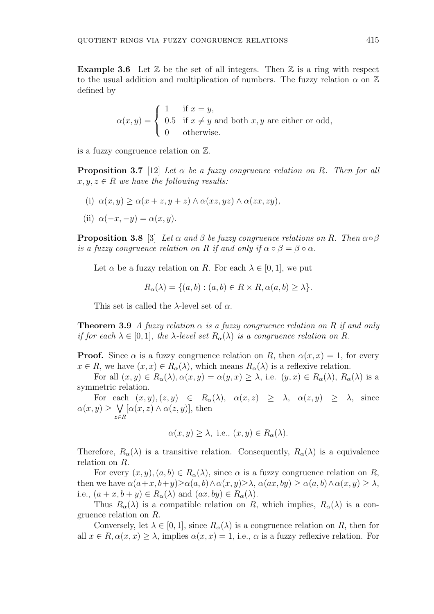**Example 3.6** Let  $\mathbb{Z}$  be the set of all integers. Then  $\mathbb{Z}$  is a ring with respect to the usual addition and multiplication of numbers. The fuzzy relation  $\alpha$  on  $\mathbb{Z}$ defined by

$$
\alpha(x, y) = \begin{cases} 1 & \text{if } x = y, \\ 0.5 & \text{if } x \neq y \text{ and both } x, y \text{ are either or odd,} \\ 0 & \text{otherwise.} \end{cases}
$$

is a fuzzy congruence relation on Z.

**Proposition 3.7** [12] Let  $\alpha$  be a fuzzy congruence relation on R. Then for all  $x, y, z \in R$  we have the following results:

(i)  $\alpha(x, y) > \alpha(x + z, y + z) \wedge \alpha(xz, yz) \wedge \alpha(zx, zy),$ 

(ii) 
$$
\alpha(-x, -y) = \alpha(x, y).
$$

**Proposition 3.8** [3] Let  $\alpha$  and  $\beta$  be fuzzy congruence relations on R. Then  $\alpha \circ \beta$ is a fuzzy congruence relation on R if and only if  $\alpha \circ \beta = \beta \circ \alpha$ .

Let  $\alpha$  be a fuzzy relation on R. For each  $\lambda \in [0, 1]$ , we put

$$
R_{\alpha}(\lambda) = \{(a, b) : (a, b) \in R \times R, \alpha(a, b) \ge \lambda\}.
$$

This set is called the  $\lambda$ -level set of  $\alpha$ .

**Theorem 3.9** A fuzzy relation  $\alpha$  is a fuzzy congruence relation on R if and only if for each  $\lambda \in [0,1]$ , the  $\lambda$ -level set  $R_{\alpha}(\lambda)$  is a congruence relation on R.

**Proof.** Since  $\alpha$  is a fuzzy congruence relation on R, then  $\alpha(x, x) = 1$ , for every  $x \in R$ , we have  $(x, x) \in R_{\alpha}(\lambda)$ , which means  $R_{\alpha}(\lambda)$  is a reflexive relation.

For all  $(x, y) \in R_{\alpha}(\lambda), \alpha(x, y) = \alpha(y, x) \geq \lambda$ , i.e.  $(y, x) \in R_{\alpha}(\lambda), R_{\alpha}(\lambda)$  is a symmetric relation.

For each  $(x, y), (z, y) \in R_{\alpha}(\lambda)$ ,  $\alpha(x, z) \geq \lambda$ ,  $\alpha(z, y) \geq \lambda$ , since  $\alpha(x, y) \geq \sqrt{\alpha(x, z) \wedge \alpha(z, y)}$ , then z∈R

$$
\alpha(x, y) \ge \lambda
$$
, i.e.,  $(x, y) \in R_{\alpha}(\lambda)$ .

Therefore,  $R_{\alpha}(\lambda)$  is a transitive relation. Consequently,  $R_{\alpha}(\lambda)$  is a equivalence relation on R.

For every  $(x, y), (a, b) \in R_{\alpha}(\lambda)$ , since  $\alpha$  is a fuzzy congruence relation on R, then we have  $\alpha(a+x, b+y) \geq \alpha(a, b) \wedge \alpha(x, y) \geq \lambda$ ,  $\alpha(ax, by) \geq \alpha(a, b) \wedge \alpha(x, y) \geq \lambda$ , i.e.,  $(a+x, b+y) \in R_{\alpha}(\lambda)$  and  $(ax, by) \in R_{\alpha}(\lambda)$ .

Thus  $R_{\alpha}(\lambda)$  is a compatible relation on R, which implies,  $R_{\alpha}(\lambda)$  is a congruence relation on R.

Conversely, let  $\lambda \in [0,1]$ , since  $R_{\alpha}(\lambda)$  is a congruence relation on R, then for all  $x \in R$ ,  $\alpha(x, x) \geq \lambda$ , implies  $\alpha(x, x) = 1$ , i.e.,  $\alpha$  is a fuzzy reflexive relation. For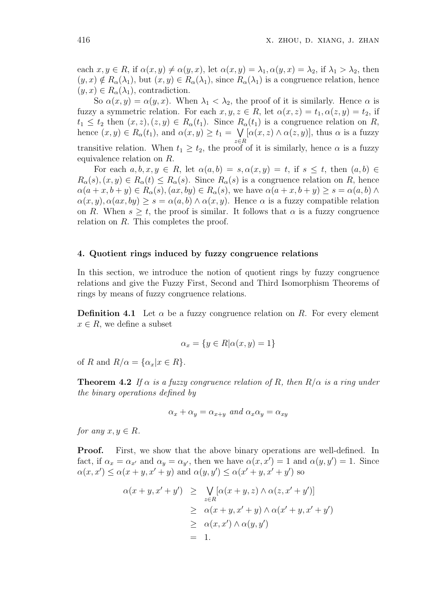each  $x, y \in R$ , if  $\alpha(x, y) \neq \alpha(y, x)$ , let  $\alpha(x, y) = \lambda_1, \alpha(y, x) = \lambda_2$ , if  $\lambda_1 > \lambda_2$ , then  $(y, x) \notin R_{\alpha}(\lambda_1)$ , but  $(x, y) \in R_{\alpha}(\lambda_1)$ , since  $R_{\alpha}(\lambda_1)$  is a congruence relation, hence  $(y, x) \in R_{\alpha}(\lambda_1)$ , contradiction.

So  $\alpha(x, y) = \alpha(y, x)$ . When  $\lambda_1 < \lambda_2$ , the proof of it is similarly. Hence  $\alpha$  is fuzzy a symmetric relation. For each  $x, y, z \in R$ , let  $\alpha(x, z) = t_1, \alpha(z, y) = t_2$ , if  $t_1 \leq t_2$  then  $(x, z), (z, y) \in R_\alpha(t_1)$ . Since  $R_\alpha(t_1)$  is a congruence relation on R, hence  $(x, y) \in R_{\alpha}(t_1)$ , and  $\alpha(x, y) \ge t_1 =$ z∈R  $[\alpha(x, z) \wedge \alpha(z, y)]$ , thus  $\alpha$  is a fuzzy transitive relation. When  $t_1 \geq t_2$ , the proof of it is similarly, hence  $\alpha$  is a fuzzy equivalence relation on R.

For each  $a, b, x, y \in R$ , let  $\alpha(a, b) = s, \alpha(x, y) = t$ , if  $s \leq t$ , then  $(a, b) \in$  $R_{\alpha}(s), (x, y) \in R_{\alpha}(t) \leq R_{\alpha}(s)$ . Since  $R_{\alpha}(s)$  is a congruence relation on R, hence  $\alpha(a+x, b+y) \in R_{\alpha}(s), (ax, by) \in R_{\alpha}(s),$  we have  $\alpha(a+x, b+y) \geq s = \alpha(a, b) \wedge$  $\alpha(x, y), \alpha(ax, by) \geq s = \alpha(a, b) \wedge \alpha(x, y)$ . Hence  $\alpha$  is a fuzzy compatible relation on R. When  $s > t$ , the proof is similar. It follows that  $\alpha$  is a fuzzy congruence relation on R. This completes the proof.

### 4. Quotient rings induced by fuzzy congruence relations

In this section, we introduce the notion of quotient rings by fuzzy congruence relations and give the Fuzzy First, Second and Third Isomorphism Theorems of rings by means of fuzzy congruence relations.

**Definition 4.1** Let  $\alpha$  be a fuzzy congruence relation on R. For every element  $x \in R$ , we define a subset

$$
\alpha_x = \{ y \in R | \alpha(x, y) = 1 \}
$$

of R and  $R/\alpha = {\alpha_x | x \in R}.$ 

**Theorem 4.2** If  $\alpha$  is a fuzzy congruence relation of R, then  $R/\alpha$  is a ring under the binary operations defined by

$$
\alpha_x + \alpha_y = \alpha_{x+y} \text{ and } \alpha_x \alpha_y = \alpha_{xy}
$$

for any  $x, y \in R$ .

**Proof.** First, we show that the above binary operations are well-defined. In fact, if  $\alpha_x = \alpha_{x'}$  and  $\alpha_y = \alpha_{y'}$ , then we have  $\alpha(x, x') = 1$  and  $\alpha(y, y') = 1$ . Since  $\alpha(x, x') \leq \alpha(x + y, x' + y)$  and  $\alpha(y, y') \leq \alpha(x' + y, x' + y')$  so

$$
\alpha(x + y, x' + y') \geq \bigvee_{z \in R} [\alpha(x + y, z) \land \alpha(z, x' + y')]
$$
  
\n
$$
\geq \alpha(x + y, x' + y) \land \alpha(x' + y, x' + y')
$$
  
\n
$$
\geq \alpha(x, x') \land \alpha(y, y')
$$
  
\n
$$
= 1.
$$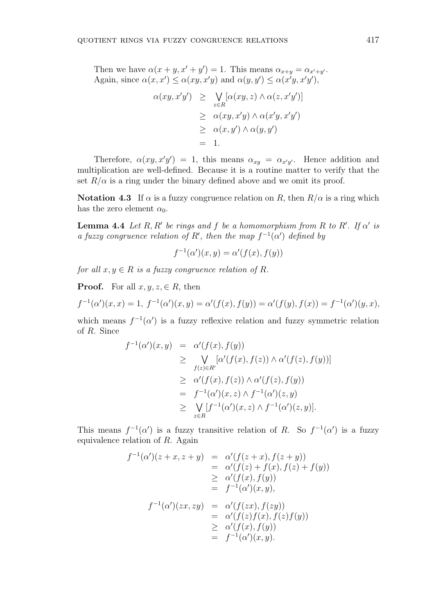Then we have  $\alpha(x + y, x' + y') = 1$ . This means  $\alpha_{x+y} = \alpha_{x'+y'}$ . Again, since  $\alpha(x, x') \leq \alpha(xy, x'y)$  and  $\alpha(y, y') \leq \alpha(x'y, x'y')$ ,

$$
\alpha(xy, x'y') \geq \bigvee_{z \in R} [\alpha(xy, z) \land \alpha(z, x'y')]
$$
  
\n
$$
\geq \alpha(xy, x'y) \land \alpha(x'y, x'y')
$$
  
\n
$$
\geq \alpha(x, y') \land \alpha(y, y')
$$
  
\n
$$
= 1.
$$

Therefore,  $\alpha(xy, x'y') = 1$ , this means  $\alpha_{xy} = \alpha_{x'y'}$ . Hence addition and multiplication are well-defined. Because it is a routine matter to verify that the set  $R/\alpha$  is a ring under the binary defined above and we omit its proof.

Notation 4.3 If  $\alpha$  is a fuzzy congruence relation on R, then  $R/\alpha$  is a ring which has the zero element  $\alpha_0$ .

**Lemma 4.4** Let R, R' be rings and f be a homomorphism from R to R'. If  $\alpha'$  is a fuzzy congruence relation of R', then the map  $f^{-1}(\alpha')$  defined by

$$
f^{-1}(\alpha')(x, y) = \alpha'(f(x), f(y))
$$

for all  $x, y \in R$  is a fuzzy congruence relation of R.

**Proof.** For all  $x, y, z \in R$ , then

$$
f^{-1}(\alpha')(x, x) = 1, \ f^{-1}(\alpha')(x, y) = \alpha'(f(x), f(y)) = \alpha'(f(y), f(x)) = f^{-1}(\alpha')(y, x),
$$

which means  $f^{-1}(\alpha')$  is a fuzzy reflexive relation and fuzzy symmetric relation of R. Since

$$
f^{-1}(\alpha')(x,y) = \alpha'(f(x), f(y))
$$
  
\n
$$
\geq \bigvee_{f(z)\in R'} [\alpha'(f(x), f(z)) \wedge \alpha'(f(z), f(y))]
$$
  
\n
$$
\geq \alpha'(f(x), f(z)) \wedge \alpha'(f(z), f(y))
$$
  
\n
$$
= f^{-1}(\alpha')(x, z) \wedge f^{-1}(\alpha')(z, y)
$$
  
\n
$$
\geq \bigvee_{z\in R} [f^{-1}(\alpha')(x, z) \wedge f^{-1}(\alpha')(z, y)].
$$

This means  $f^{-1}(\alpha')$  is a fuzzy transitive relation of R. So  $f^{-1}(\alpha')$  is a fuzzy equivalence relation of R. Again

$$
f^{-1}(\alpha')(z+x, z+y) = \alpha'(f(z+x), f(z+y))
$$
  
\n
$$
= \alpha'(f(z) + f(x), f(z) + f(y))
$$
  
\n
$$
\geq \alpha'(f(x), f(y))
$$
  
\n
$$
= f^{-1}(\alpha')(x, y),
$$
  
\n
$$
f^{-1}(\alpha')(zx, zy) = \alpha'(f(zx), f(zy))
$$
  
\n
$$
= \alpha'(f(z)f(x), f(z)f(y))
$$
  
\n
$$
\geq \alpha'(f(x), f(y))
$$
  
\n
$$
= f^{-1}(\alpha')(x, y).
$$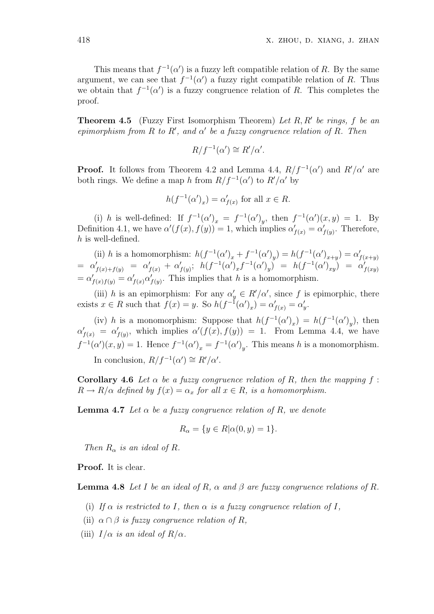This means that  $f^{-1}(\alpha')$  is a fuzzy left compatible relation of R. By the same argument, we can see that  $f^{-1}(\alpha')$  a fuzzy right compatible relation of R. Thus we obtain that  $f^{-1}(\alpha')$  is a fuzzy congruence relation of R. This completes the proof.

**Theorem 4.5** (Fuzzy First Isomorphism Theorem) Let  $R, R'$  be rings,  $f$  be an epimorphism from R to R', and  $\alpha'$  be a fuzzy congruence relation of R. Then

$$
R/f^{-1}(\alpha') \cong R'/\alpha'.
$$

**Proof.** It follows from Theorem 4.2 and Lemma 4.4,  $R/f^{-1}(\alpha')$  and  $R'/\alpha'$  are both rings. We define a map h from  $R/f^{-1}(\alpha')$  to  $R'/\alpha'$  by

$$
h(f^{-1}(\alpha')_x) = \alpha'_{f(x)} \text{ for all } x \in R.
$$

(i) h is well-defined: If  $f^{-1}(\alpha')_x = f^{-1}(\alpha')_y$ , then  $f^{-1}(\alpha')(x, y) = 1$ . By Definition 4.1, we have  $\alpha'(f(x), f(y)) = 1$ , which implies  $\alpha'_{f(x)} = \alpha'_{f(y)}$ . Therefore, h is well-defined.

(ii) h is a homomorphism:  $h(f^{-1}(\alpha')_x + f^{-1}(\alpha')_y) = h(f^{-1}(\alpha')_{x+y}) = \alpha'_{f(x+y)}$  $= \alpha'_{f(x)+f(y)} = \alpha'_{f(x)} + \alpha'_{f(y)}; \; h(f^{-1}(\alpha')_x f^{-1}(\alpha')_y) = h(f^{-1}(\alpha')_{xy}) = \alpha'_{f(xy)}$  $=\alpha'_{f(x)f(y)}=\alpha'_{f(x)}\alpha'_{f(y)}$ . This implies that h is a homomorphism.

(iii) h is an epimorphism: For any  $\alpha'_{y} \in R'/\alpha'$ , since f is epimorphic, there exists  $x \in R$  such that  $f(x) = y$ . So  $h(f^{-1}(\alpha')_x) = \alpha'_{f(x)} = \alpha'_{y}$ .

(iv) h is a monomorphism: Suppose that  $h(f^{-1}(\alpha')_x) = h(f^{-1}(\alpha')_y)$ , then  $\alpha'_{f(x)} = \alpha'_{f(y)}$ , which implies  $\alpha'(f(x), f(y)) = 1$ . From Lemma 4.4, we have  $f^{-1}(\alpha')(x,y) = 1$ . Hence  $f^{-1}(\alpha')_x = f^{-1}(\alpha')_y$ . This means h is a monomorphism. In conclusion,  $R/f^{-1}(\alpha') \cong R'/\alpha'$ .

Corollary 4.6 Let  $\alpha$  be a fuzzy congruence relation of R, then the mapping f:  $R \to R/\alpha$  defined by  $f(x) = \alpha_x$  for all  $x \in R$ , is a homomorphism.

**Lemma 4.7** Let  $\alpha$  be a fuzzy congruence relation of R, we denote

$$
R_{\alpha} = \{ y \in R | \alpha(0, y) = 1 \}.
$$

Then  $R_{\alpha}$  is an ideal of R.

Proof. It is clear.

**Lemma 4.8** Let I be an ideal of R,  $\alpha$  and  $\beta$  are fuzzy congruence relations of R.

- (i) If  $\alpha$  is restricted to I, then  $\alpha$  is a fuzzy congruence relation of I,
- (ii)  $\alpha \cap \beta$  is fuzzy congruence relation of R,
- (iii)  $I/\alpha$  is an ideal of  $R/\alpha$ .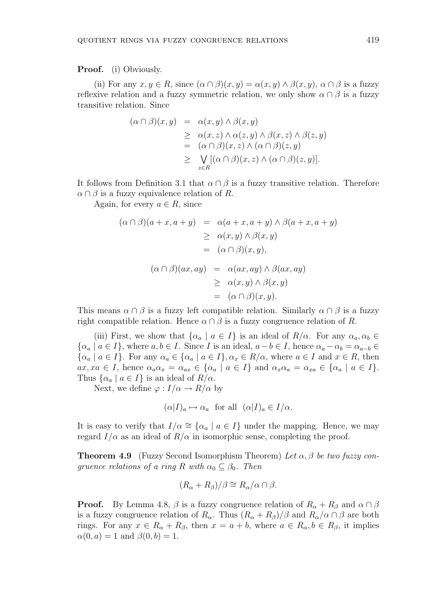Proof. (i) Obviously.

(ii) For any  $x, y \in R$ , since  $(\alpha \cap \beta)(x, y) = \alpha(x, y) \wedge \beta(x, y)$ ,  $\alpha \cap \beta$  is a fuzzy reflexive relation and a fuzzy symmetric relation, we only show  $\alpha \cap \beta$  is a fuzzy transitive relation. Since

$$
(\alpha \cap \beta)(x, y) = \alpha(x, y) \land \beta(x, y)
$$
  
\n
$$
\geq \alpha(x, z) \land \alpha(z, y) \land \beta(x, z) \land \beta(z, y)
$$
  
\n
$$
= (\alpha \cap \beta)(x, z) \land (\alpha \cap \beta)(z, y)
$$
  
\n
$$
\geq \bigvee_{z \in R} [(\alpha \cap \beta)(x, z) \land (\alpha \cap \beta)(z, y)].
$$

It follows from Definition 3.1 that  $\alpha \cap \beta$  is a fuzzy transitive relation. Therefore  $\alpha \cap \beta$  is a fuzzy equivalence relation of R.

Again, for every  $a \in R$ , since

$$
(\alpha \cap \beta)(a + x, a + y) = \alpha(a + x, a + y) \land \beta(a + x, a + y)
$$
  
\n
$$
\geq \alpha(x, y) \land \beta(x, y)
$$
  
\n
$$
= (\alpha \cap \beta)(x, y),
$$
  
\n
$$
(\alpha \cap \beta)(ax, ay) = \alpha(ax, ay) \land \beta(ax, ay)
$$
  
\n
$$
\geq \alpha(x, y) \land \beta(x, y)
$$
  
\n
$$
= (\alpha \cap \beta)(x, y).
$$

This means  $\alpha \cap \beta$  is a fuzzy left compatible relation. Similarly  $\alpha \cap \beta$  is a fuzzy right compatible relation. Hence  $\alpha \cap \beta$  is a fuzzy congruence relation of R.

(iii) First, we show that  $\{\alpha_a \mid a \in I\}$  is an ideal of  $R/\alpha$ . For any  $\alpha_a, \alpha_b \in$  $\{\alpha_a \mid a \in I\}$ , where  $a, b \in I$ . Since I is an ideal,  $a - b \in I$ , hence  $\alpha_a - \alpha_b = \alpha_{a-b} \in I$  $\{\alpha_a \mid a \in I\}$ . For any  $\alpha_a \in \{\alpha_a \mid a \in I\}$ ,  $\alpha_x \in R/\alpha$ , where  $a \in I$  and  $x \in R$ , then  $ax, xa \in I$ , hence  $\alpha_a \alpha_x = \alpha_{ax} \in {\alpha_a \mid a \in I}$  and  $\alpha_x \alpha_a = \alpha_{xa} \in {\alpha_a \mid a \in I}$ . Thus  $\{\alpha_a \mid a \in I\}$  is an ideal of  $R/\alpha$ .

Next, we define  $\varphi : I/\alpha \to R/\alpha$  by

$$
(\alpha|I)_a \mapsto \alpha_a
$$
 for all  $(\alpha|I)_a \in I/\alpha$ .

It is easy to verify that  $I/\alpha \cong {\alpha_a | a \in I}$  under the mapping. Hence, we may regard  $I/\alpha$  as an ideal of  $R/\alpha$  in isomorphic sense, completing the proof.

**Theorem 4.9** (Fuzzy Second Isomorphism Theorem) Let  $\alpha$ ,  $\beta$  be two fuzzy conqruence relations of a ring R with  $\alpha_0 \subset \beta_0$ . Then

$$
(R_{\alpha} + R_{\beta})/\beta \cong R_{\alpha}/\alpha \cap \beta.
$$

**Proof.** By Lemma 4.8,  $\beta$  is a fuzzy congruence relation of  $R_{\alpha} + R_{\beta}$  and  $\alpha \cap \beta$ is a fuzzy congruence relation of  $R_{\alpha}$ . Thus  $(R_{\alpha} + R_{\beta})/\beta$  and  $R_{\alpha}/\alpha \cap \beta$  are both rings. For any  $x \in R_{\alpha} + R_{\beta}$ , then  $x = a + b$ , where  $a \in R_{\alpha}, b \in R_{\beta}$ , it implies  $\alpha(0, a) = 1$  and  $\beta(0, b) = 1$ .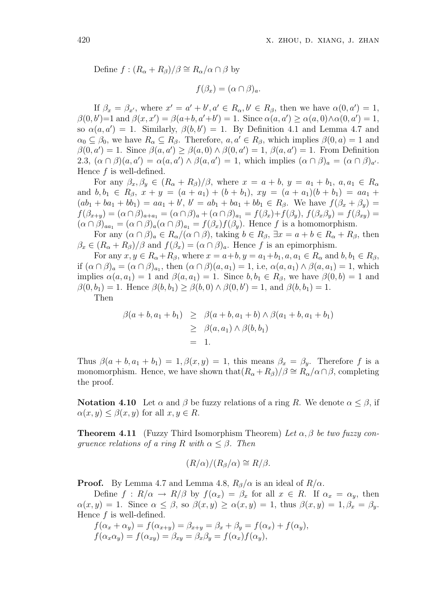Define  $f : (R_{\alpha} + R_{\beta})/\beta \cong R_{\alpha}/\alpha \cap \beta$  by

$$
f(\beta_x) = (\alpha \cap \beta)_a.
$$

If  $\beta_x = \beta_{x'}$ , where  $x' = a' + b', a' \in R_\alpha, b' \in R_\beta$ , then we have  $\alpha(0, a') = 1$ ,  $\beta(0, b') = 1$  and  $\beta(x, x') = \beta(a+b, a'+b') = 1$ . Since  $\alpha(a, a') \ge \alpha(a, 0) \wedge \alpha(0, a') = 1$ , so  $\alpha(a, a') = 1$ . Similarly,  $\beta(b, b') = 1$ . By Definition 4.1 and Lemma 4.7 and  $\alpha_0 \subseteq \beta_0$ , we have  $R_\alpha \subseteq R_\beta$ . Therefore,  $a, a' \in R_\beta$ , which implies  $\beta(0, a) = 1$  and  $\beta(0, a') = 1$ . Since  $\beta(a, a') \geq \beta(a, 0) \wedge \beta(0, a') = 1$ ,  $\beta(a, a') = 1$ . From Definition 2.3,  $(\alpha \cap \beta)(a, a') = \alpha(a, a') \wedge \beta(a, a') = 1$ , which implies  $(\alpha \cap \beta)_a = (\alpha \cap \beta)_{a'}$ . Hence  $f$  is well-defined.

For any  $\beta_x, \beta_y \in (R_\alpha + R_\beta)/\beta$ , where  $x = a + b$ ,  $y = a_1 + b_1$ ,  $a, a_1 \in R_\alpha$ and  $b, b_1 \in R_\beta$ ,  $x + y = (a + a_1) + (b + b_1)$ ,  $xy = (a + a_1)(b + b_1) = aa_1 +$  $(ab_1 + ba_1 + bb_1) = aa_1 + b', b' = ab_1 + ba_1 + bb_1 \in R_\beta$ . We have  $f(\beta_x + \beta_y) =$  $f(\beta_{x+y}) = (\alpha \cap \beta)_{a+a_1} = (\alpha \cap \beta)_a + (\alpha \cap \beta)_{a_1} = f(\beta_x) + f(\beta_y),$   $f(\beta_x \beta_y) = f(\beta_{xy}) =$  $(\alpha \cap \beta)_{aa_1} = (\alpha \cap \beta)_a (\alpha \cap \beta)_{a_1} = f(\beta_x) f(\beta_y)$ . Hence f is a homomorphism.

For any  $(\alpha \cap \beta)_a \in R_\alpha/(\alpha \cap \beta)$ , taking  $b \in R_\beta$ ,  $\exists x = a + b \in R_\alpha + R_\beta$ , then  $\beta_x \in (R_\alpha + R_\beta)/\beta$  and  $f(\beta_x) = (\alpha \cap \beta)_a$ . Hence f is an epimorphism.

For any  $x, y \in R_{\alpha} + R_{\beta}$ , where  $x = a+b, y = a_1+b_1, a, a_1 \in R_{\alpha}$  and  $b, b_1 \in R_{\beta}$ , if  $(\alpha \cap \beta)_a = (\alpha \cap \beta)_{a_1}$ , then  $(\alpha \cap \beta)(a, a_1) = 1$ , i.e,  $\alpha(a, a_1) \wedge \beta(a, a_1) = 1$ , which implies  $\alpha(a, a_1) = 1$  and  $\beta(a, a_1) = 1$ . Since  $b, b_1 \in R_\beta$ , we have  $\beta(0, b) = 1$  and  $\beta(0, b_1) = 1$ . Hence  $\beta(b, b_1) \geq \beta(b, 0) \land \beta(0, b') = 1$ , and  $\beta(b, b_1) = 1$ . Then

$$
\beta(a+b, a_1+b_1) \geq \beta(a+b, a_1+b) \wedge \beta(a_1+b, a_1+b_1)
$$
  
\n
$$
\geq \beta(a, a_1) \wedge \beta(b, b_1)
$$
  
\n
$$
= 1.
$$

Thus  $\beta(a + b, a_1 + b_1) = 1, \beta(x, y) = 1$ , this means  $\beta_x = \beta_y$ . Therefore f is a monomorphism. Hence, we have shown that  $(R_{\alpha} + R_{\beta})/\beta \cong R_{\alpha}/\alpha \cap \beta$ , completing the proof.

**Notation 4.10** Let  $\alpha$  and  $\beta$  be fuzzy relations of a ring R. We denote  $\alpha \leq \beta$ , if  $\alpha(x, y) \leq \beta(x, y)$  for all  $x, y \in R$ .

**Theorem 4.11** (Fuzzy Third Isomorphism Theorem) Let  $\alpha$ ,  $\beta$  be two fuzzy congruence relations of a ring R with  $\alpha \leq \beta$ . Then

$$
(R/\alpha)/(R_\beta/\alpha) \cong R/\beta.
$$

**Proof.** By Lemma 4.7 and Lemma 4.8,  $R_{\beta}/\alpha$  is an ideal of  $R/\alpha$ .

Define  $f: R/\alpha \to R/\beta$  by  $f(\alpha_x) = \beta_x$  for all  $x \in R$ . If  $\alpha_x = \alpha_y$ , then  $\alpha(x, y) = 1$ . Since  $\alpha \leq \beta$ , so  $\beta(x, y) \geq \alpha(x, y) = 1$ , thus  $\beta(x, y) = 1$ ,  $\beta_x = \beta_y$ . Hence  $f$  is well-defined.

$$
f(\alpha_x + \alpha_y) = f(\alpha_{x+y}) = \beta_{x+y} = \beta_x + \beta_y = f(\alpha_x) + f(\alpha_y),
$$
  

$$
f(\alpha_x \alpha_y) = f(\alpha_{xy}) = \beta_{xy} = \beta_x \beta_y = f(\alpha_x) f(\alpha_y),
$$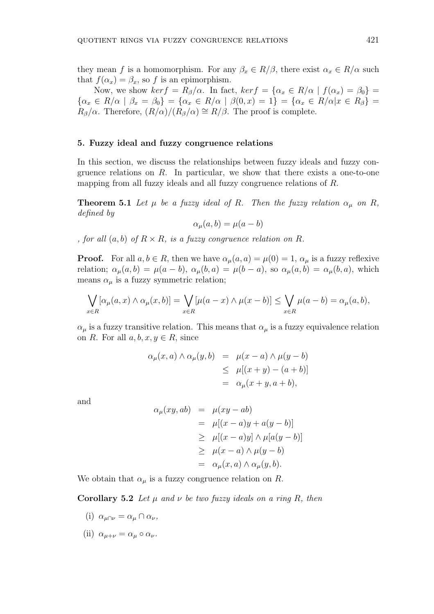they mean f is a homomorphism. For any  $\beta_x \in R/\beta$ , there exist  $\alpha_x \in R/\alpha$  such that  $f(\alpha_x) = \beta_x$ , so f is an epimorphism.

Now, we show  $ker f = R_{\beta}/\alpha$ . In fact,  $ker f = {\alpha_x \in R/\alpha \mid f(\alpha_x) = \beta_0}$  ${\alpha_x \in R/\alpha \mid \beta_x = \beta_0} = {\alpha_x \in R/\alpha \mid \beta(0, x) = 1} = {\alpha_x \in R/\alpha | x \in R_\beta}$  $R_{\beta}/\alpha$ . Therefore,  $(R/\alpha)/(R_{\beta}/\alpha) \cong R/\beta$ . The proof is complete.

### 5. Fuzzy ideal and fuzzy congruence relations

In this section, we discuss the relationships between fuzzy ideals and fuzzy congruence relations on  $R$ . In particular, we show that there exists a one-to-one mapping from all fuzzy ideals and all fuzzy congruence relations of R.

**Theorem 5.1** Let  $\mu$  be a fuzzy ideal of R. Then the fuzzy relation  $\alpha_{\mu}$  on R, defined by

$$
\alpha_{\mu}(a,b) = \mu(a-b)
$$

, for all  $(a, b)$  of  $R \times R$ , is a fuzzy congruence relation on R.

**Proof.** For all  $a, b \in R$ , then we have  $\alpha_u(a, a) = \mu(0) = 1$ ,  $\alpha_u$  is a fuzzy reflexive relation;  $\alpha_\mu(a, b) = \mu(a - b)$ ,  $\alpha_\mu(b, a) = \mu(b - a)$ , so  $\alpha_\mu(a, b) = \alpha_\mu(b, a)$ , which means  $\alpha_\mu$  is a fuzzy symmetric relation;

$$
\bigvee_{x \in R} [\alpha_{\mu}(a, x) \wedge \alpha_{\mu}(x, b)] = \bigvee_{x \in R} [\mu(a - x) \wedge \mu(x - b)] \le \bigvee_{x \in R} \mu(a - b) = \alpha_{\mu}(a, b),
$$

 $\alpha_{\mu}$  is a fuzzy transitive relation. This means that  $\alpha_{\mu}$  is a fuzzy equivalence relation on R. For all  $a, b, x, y \in R$ , since

$$
\alpha_{\mu}(x, a) \wedge \alpha_{\mu}(y, b) = \mu(x - a) \wedge \mu(y - b)
$$
  
\n
$$
\leq \mu[(x + y) - (a + b)]
$$
  
\n
$$
= \alpha_{\mu}(x + y, a + b),
$$

and

$$
\alpha_{\mu}(xy, ab) = \mu(xy - ab)
$$
  
=  $\mu[(x - a)y + a(y - b)]$   
 $\geq \mu[(x - a)y] \wedge \mu[a(y - b)]$   
 $\geq \mu(x - a) \wedge \mu(y - b)$   
=  $\alpha_{\mu}(x, a) \wedge \alpha_{\mu}(y, b).$ 

We obtain that  $\alpha_{\mu}$  is a fuzzy congruence relation on R.

Corollary 5.2 Let  $\mu$  and  $\nu$  be two fuzzy ideals on a ring R, then

- (i)  $\alpha_{\mu\cap\nu} = \alpha_{\mu} \cap \alpha_{\nu}$ ,
- (ii)  $\alpha_{\mu+\nu} = \alpha_{\mu} \circ \alpha_{\nu}$ .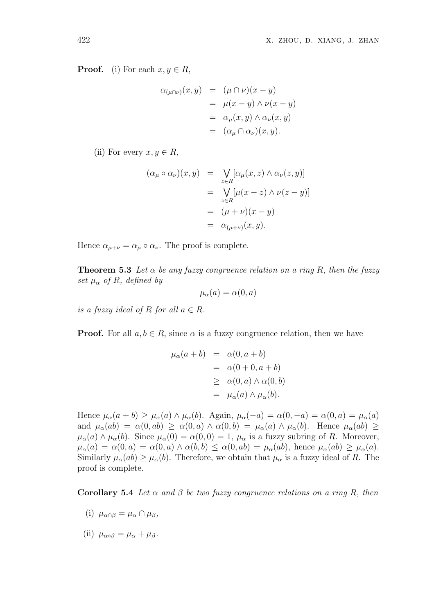**Proof.** (i) For each  $x, y \in R$ ,

$$
\alpha_{(\mu \cap \nu)}(x, y) = (\mu \cap \nu)(x - y)
$$
  
=  $\mu(x - y) \wedge \nu(x - y)$   
=  $\alpha_{\mu}(x, y) \wedge \alpha_{\nu}(x, y)$   
=  $(\alpha_{\mu} \cap \alpha_{\nu})(x, y).$ 

(ii) For every  $x, y \in R$ ,

$$
(\alpha_{\mu} \circ \alpha_{\nu})(x, y) = \bigvee_{z \in R} [\alpha_{\mu}(x, z) \land \alpha_{\nu}(z, y)]
$$
  
= 
$$
\bigvee_{z \in R} [\mu(x - z) \land \nu(z - y)]
$$
  
= 
$$
(\mu + \nu)(x - y)
$$
  
= 
$$
\alpha_{(\mu + \nu)}(x, y).
$$

Hence  $\alpha_{\mu+\nu} = \alpha_{\mu} \circ \alpha_{\nu}$ . The proof is complete.

**Theorem 5.3** Let  $\alpha$  be any fuzzy congruence relation on a ring R, then the fuzzy set  $\mu_{\alpha}$  of R, defined by

$$
\mu_{\alpha}(a) = \alpha(0, a)
$$

is a fuzzy ideal of R for all  $a \in R$ .

**Proof.** For all  $a, b \in R$ , since  $\alpha$  is a fuzzy congruence relation, then we have

$$
\mu_{\alpha}(a+b) = \alpha(0, a+b)
$$
  
=  $\alpha(0+0, a+b)$   
 $\geq \alpha(0, a) \wedge \alpha(0, b)$   
=  $\mu_{\alpha}(a) \wedge \mu_{\alpha}(b)$ .

Hence  $\mu_{\alpha}(a+b) \geq \mu_{\alpha}(a) \wedge \mu_{\alpha}(b)$ . Again,  $\mu_{\alpha}(-a) = \alpha(0, -a) = \alpha(0, a) = \mu_{\alpha}(a)$ and  $\mu_{\alpha}(ab) = \alpha(0, ab) \geq \alpha(0, a) \wedge \alpha(0, b) = \mu_{\alpha}(a) \wedge \mu_{\alpha}(b)$ . Hence  $\mu_{\alpha}(ab) \geq$  $\mu_{\alpha}(a) \wedge \mu_{\alpha}(b)$ . Since  $\mu_{\alpha}(0) = \alpha(0,0) = 1$ ,  $\mu_{\alpha}$  is a fuzzy subring of R. Moreover,  $\mu_{\alpha}(a) = \alpha(0, a) = \alpha(0, a) \wedge \alpha(b, b) \leq \alpha(0, ab) = \mu_{\alpha}(ab)$ , hence  $\mu_{\alpha}(ab) \geq \mu_{\alpha}(a)$ . Similarly  $\mu_{\alpha}(ab) \geq \mu_{\alpha}(b)$ . Therefore, we obtain that  $\mu_{\alpha}$  is a fuzzy ideal of R. The proof is complete.

Corollary 5.4 Let  $\alpha$  and  $\beta$  be two fuzzy congruence relations on a ring R, then

- (i)  $\mu_{\alpha \cap \beta} = \mu_{\alpha} \cap \mu_{\beta}$ ,
- (ii)  $\mu_{\alpha\circ\beta} = \mu_{\alpha} + \mu_{\beta}$ .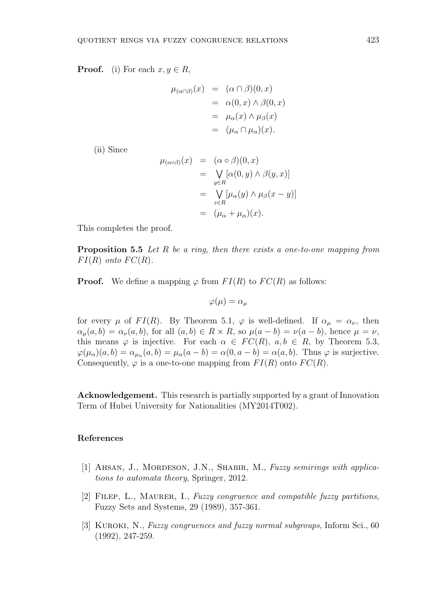**Proof.** (i) For each  $x, y \in R$ ,

$$
\mu_{(\alpha \cap \beta)}(x) = (\alpha \cap \beta)(0, x)
$$
  
=  $\alpha(0, x) \land \beta(0, x)$   
=  $\mu_{\alpha}(x) \land \mu_{\beta}(x)$   
=  $(\mu_{\alpha} \cap \mu_{\alpha})(x).$ 

(ii) Since

$$
\mu_{(\alpha \circ \beta)}(x) = (\alpha \circ \beta)(0, x)
$$
  
= 
$$
\bigvee_{y \in R} [\alpha(0, y) \land \beta(y, x)]
$$
  
= 
$$
\bigvee_{z \in R} [\mu_{\alpha}(y) \land \mu_{\beta}(x - y)]
$$
  
= 
$$
(\mu_{\alpha} + \mu_{\alpha})(x).
$$

This completes the proof.

Proposition 5.5 Let R be a ring, then there exists a one-to-one mapping from  $FI(R)$  onto  $FC(R)$ .

**Proof.** We define a mapping  $\varphi$  from  $FI(R)$  to  $FC(R)$  as follows:

$$
\varphi(\mu) = \alpha_{\mu}
$$

for every  $\mu$  of  $FI(R)$ . By Theorem 5.1,  $\varphi$  is well-defined. If  $\alpha_{\mu} = \alpha_{\nu}$ , then  $\alpha_{\mu}(a, b) = \alpha_{\nu}(a, b)$ , for all  $(a, b) \in R \times R$ , so  $\mu(a - b) = \nu(a - b)$ , hence  $\mu = \nu$ , this means  $\varphi$  is injective. For each  $\alpha \in FC(R)$ ,  $a, b \in R$ , by Theorem 5.3,  $\varphi(\mu_{\alpha})(a, b) = \alpha_{\mu_{\alpha}}(a, b) = \mu_{\alpha}(a - b) = \alpha(0, a - b) = \alpha(a, b)$ . Thus  $\varphi$  is surjective. Consequently,  $\varphi$  is a one-to-one mapping from  $FI(R)$  onto  $FC(R)$ .

Acknowledgement. This research is partially supported by a grant of Innovation Term of Hubei University for Nationalities (MY2014T002).

# References

- [1] AHSAN, J., MORDESON, J.N., SHABIR, M., Fuzzy semirings with applications to automata theory, Springer, 2012.
- [2] FILEP, L., MAURER, I., Fuzzy congruence and compatible fuzzy partitions, Fuzzy Sets and Systems, 29 (1989), 357-361.
- [3] KUROKI, N., Fuzzy congruences and fuzzy normal subgroups, Inform Sci., 60 (1992), 247-259.